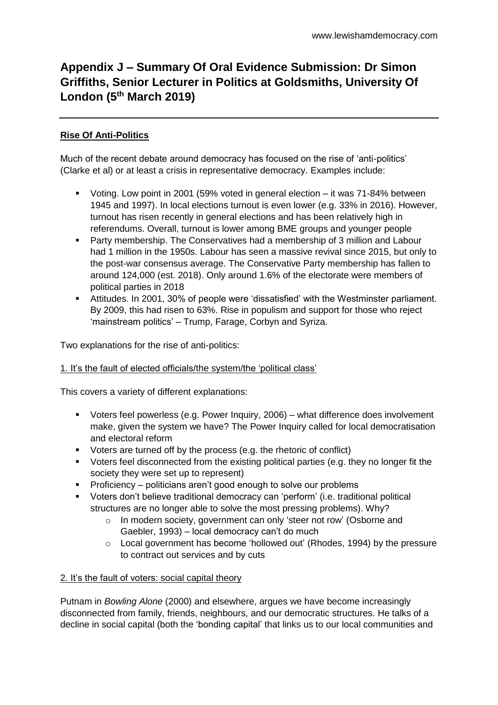# **Appendix J – Summary Of Oral Evidence Submission: Dr Simon Griffiths, Senior Lecturer in Politics at Goldsmiths, University Of London (5th March 2019)**

## **Rise Of Anti-Politics**

Much of the recent debate around democracy has focused on the rise of 'anti-politics' (Clarke et al) or at least a crisis in representative democracy. Examples include:

- Voting. Low point in 2001 (59% voted in general election it was 71-84% between 1945 and 1997). In local elections turnout is even lower (e.g. 33% in 2016). However, turnout has risen recently in general elections and has been relatively high in referendums. Overall, turnout is lower among BME groups and younger people
- Party membership. The Conservatives had a membership of 3 million and Labour had 1 million in the 1950s. Labour has seen a massive revival since 2015, but only to the post-war consensus average. The Conservative Party membership has fallen to around 124,000 (est. 2018). Only around 1.6% of the electorate were members of political parties in 2018
- Attitudes. In 2001, 30% of people were 'dissatisfied' with the Westminster parliament. By 2009, this had risen to 63%. Rise in populism and support for those who reject 'mainstream politics' – Trump, Farage, Corbyn and Syriza.

Two explanations for the rise of anti-politics:

#### 1. It's the fault of elected officials/the system/the 'political class'

This covers a variety of different explanations:

- Voters feel powerless (e.g. Power Inquiry, 2006) what difference does involvement make, given the system we have? The Power Inquiry called for local democratisation and electoral reform
- Voters are turned off by the process (e.g. the rhetoric of conflict)
- Voters feel disconnected from the existing political parties (e.g. they no longer fit the society they were set up to represent)
- **•** Proficiency politicians aren't good enough to solve our problems
- Voters don't believe traditional democracy can 'perform' (i.e. traditional political structures are no longer able to solve the most pressing problems). Why?
	- o In modern society, government can only 'steer not row' (Osborne and Gaebler, 1993) – local democracy can't do much
	- $\circ$  Local government has become 'hollowed out' (Rhodes, 1994) by the pressure to contract out services and by cuts

#### 2. It's the fault of voters: social capital theory

Putnam in *Bowling Alone* (2000) and elsewhere, argues we have become increasingly disconnected from family, friends, neighbours, and our democratic structures. He talks of a decline in social capital (both the 'bonding capital' that links us to our local communities and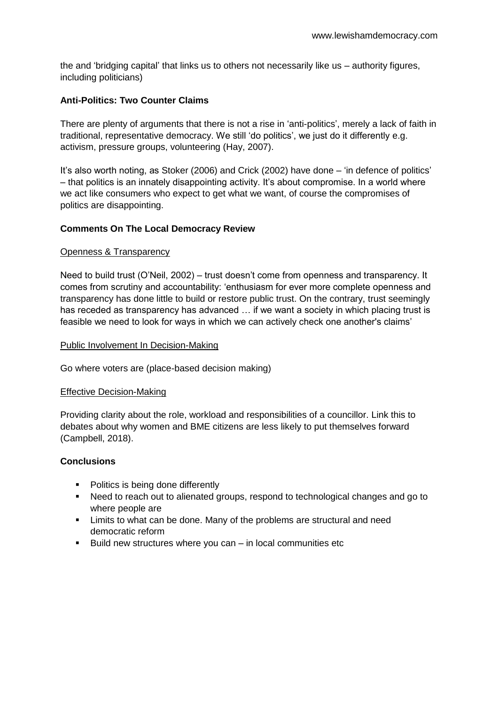the and 'bridging capital' that links us to others not necessarily like us – authority figures, including politicians)

## **Anti-Politics: Two Counter Claims**

There are plenty of arguments that there is not a rise in 'anti-politics', merely a lack of faith in traditional, representative democracy. We still 'do politics', we just do it differently e.g. activism, pressure groups, volunteering (Hay, 2007).

It's also worth noting, as Stoker (2006) and Crick (2002) have done – 'in defence of politics' – that politics is an innately disappointing activity. It's about compromise. In a world where we act like consumers who expect to get what we want, of course the compromises of politics are disappointing.

#### **Comments On The Local Democracy Review**

#### Openness & Transparency

Need to build trust (O'Neil, 2002) – trust doesn't come from openness and transparency. It comes from scrutiny and accountability: 'enthusiasm for ever more complete openness and transparency has done little to build or restore public trust. On the contrary, trust seemingly has receded as transparency has advanced … if we want a society in which placing trust is feasible we need to look for ways in which we can actively check one another's claims'

#### Public Involvement In Decision-Making

Go where voters are (place-based decision making)

#### Effective Decision-Making

Providing clarity about the role, workload and responsibilities of a councillor. Link this to debates about why women and BME citizens are less likely to put themselves forward (Campbell, 2018).

#### **Conclusions**

- Politics is being done differently
- Need to reach out to alienated groups, respond to technological changes and go to where people are
- Limits to what can be done. Many of the problems are structural and need democratic reform
- $\blacksquare$  Build new structures where you can in local communities etc